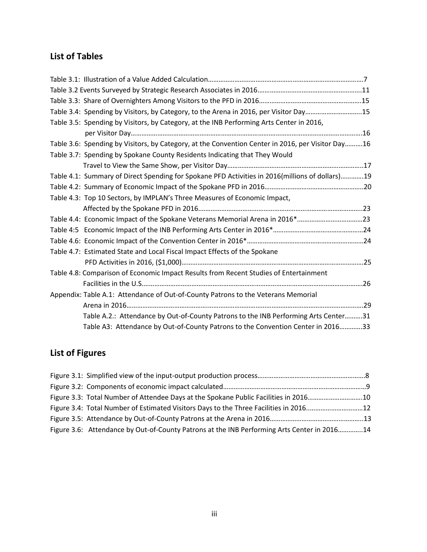## **List of Tables**

| Table 3.4: Spending by Visitors, by Category, to the Arena in 2016, per Visitor Day15             |  |
|---------------------------------------------------------------------------------------------------|--|
| Table 3.5: Spending by Visitors, by Category, at the INB Performing Arts Center in 2016,          |  |
|                                                                                                   |  |
| Table 3.6: Spending by Visitors, by Category, at the Convention Center in 2016, per Visitor Day16 |  |
| Table 3.7: Spending by Spokane County Residents Indicating that They Would                        |  |
|                                                                                                   |  |
| Table 4.1: Summary of Direct Spending for Spokane PFD Activities in 2016(millions of dollars)19   |  |
|                                                                                                   |  |
| Table 4.3: Top 10 Sectors, by IMPLAN's Three Measures of Economic Impact,                         |  |
|                                                                                                   |  |
| Table 4.4: Economic Impact of the Spokane Veterans Memorial Arena in 2016*23                      |  |
|                                                                                                   |  |
|                                                                                                   |  |
| Table 4.7: Estimated State and Local Fiscal Impact Effects of the Spokane                         |  |
|                                                                                                   |  |
| Table 4.8: Comparison of Economic Impact Results from Recent Studies of Entertainment             |  |
|                                                                                                   |  |
| Appendix: Table A.1: Attendance of Out-of-County Patrons to the Veterans Memorial                 |  |
|                                                                                                   |  |
| Table A.2.: Attendance by Out-of-County Patrons to the INB Performing Arts Center31               |  |
| Table A3: Attendance by Out-of-County Patrons to the Convention Center in 201633                  |  |

## **List of Figures**

| Figure 3.3: Total Number of Attendee Days at the Spokane Public Facilities in 201610        |  |
|---------------------------------------------------------------------------------------------|--|
| Figure 3.4: Total Number of Estimated Visitors Days to the Three Facilities in 2016 12      |  |
|                                                                                             |  |
| Figure 3.6: Attendance by Out-of-County Patrons at the INB Performing Arts Center in 201614 |  |